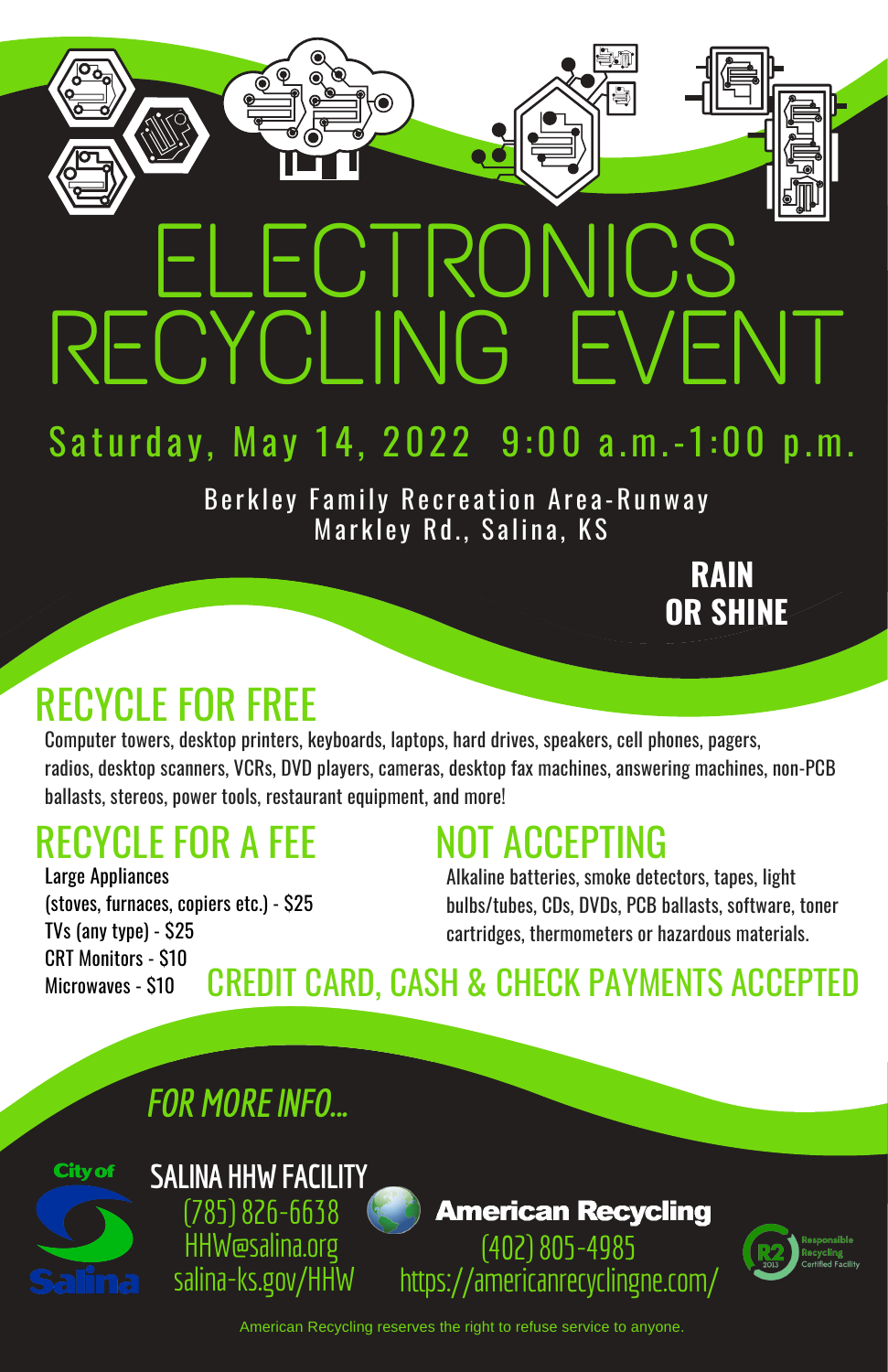# ECTRONI RECYCLING EVENT

# Saturday, May 14, 2022 9:00 a.m.-1:00 p.m.

Berkley Family Recreation Area-Runway Markley Rd., Salina, KS

Computer towers, desktop printers, keyboards, laptops, hard drives, speakers, cell phones, pagers, radios, desktop scanners, VCRs, DVD players, cameras, desktop fax machines, answering machines, non-PCB ballasts, stereos, power tools, restaurant equipment, and more!

# RECYCLE FOR A FEE

## RECYCLE FOR FREE

# NOT ACCEPTING

Alkaline batteries, smoke detectors, tapes, light bulbs/tubes, CDs, DVDs, PCB ballasts, software, toner cartridges, thermometers or hazardous materials.

**RAIN OR SHINE**



# CREDIT CARD, CASH & CHECK PAYMENTS ACCEPTED

#### *FOR MORE INFO...*

American Recycling reserves the right to refuse service to anyone.

Large Appliances (stoves, furnaces, copiers etc.) - \$25 TVs (any type) - \$25 CRT Monitors - \$10 Microwaves - \$10